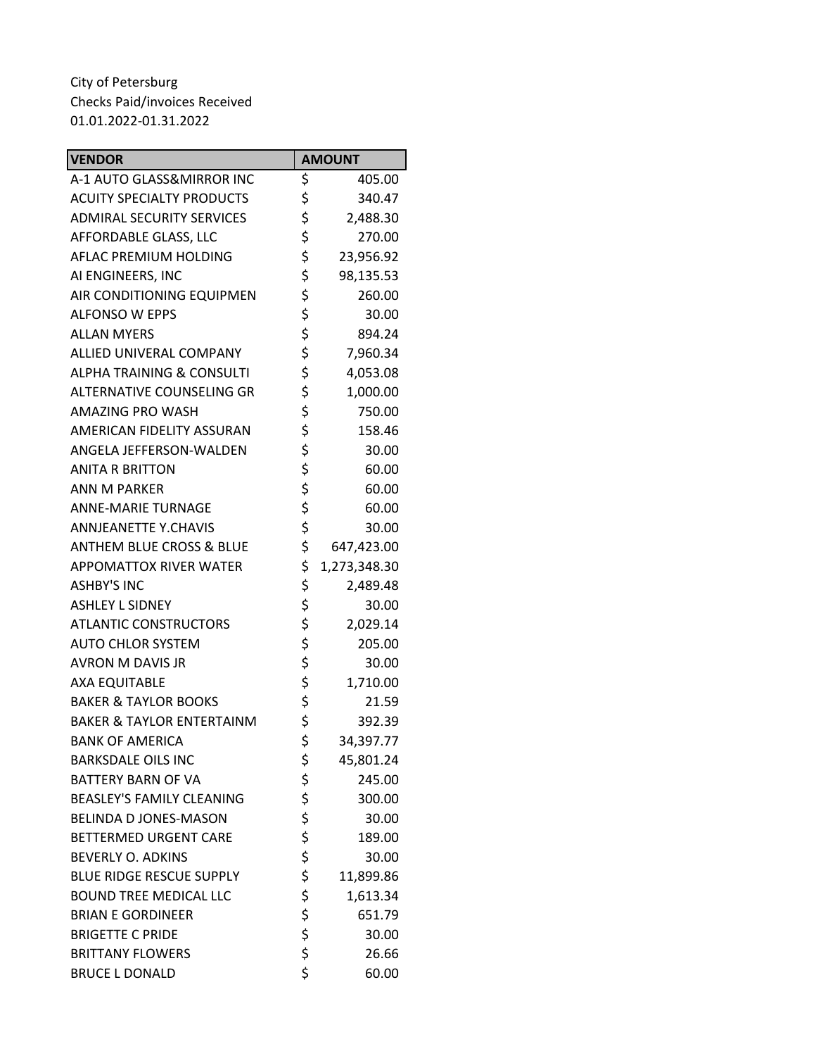| <b>VENDOR</b>                        | <b>AMOUNT</b>      |
|--------------------------------------|--------------------|
| A-1 AUTO GLASS&MIRROR INC            | \$<br>405.00       |
| <b>ACUITY SPECIALTY PRODUCTS</b>     | \$<br>340.47       |
| <b>ADMIRAL SECURITY SERVICES</b>     | \$<br>2,488.30     |
| AFFORDABLE GLASS, LLC                | \$<br>270.00       |
| AFLAC PREMIUM HOLDING                | \$<br>23,956.92    |
| AI ENGINEERS, INC                    | \$<br>98,135.53    |
| AIR CONDITIONING EQUIPMEN            | \$<br>260.00       |
| <b>ALFONSO W EPPS</b>                | \$<br>30.00        |
| <b>ALLAN MYERS</b>                   | \$<br>894.24       |
| ALLIED UNIVERAL COMPANY              | \$<br>7,960.34     |
| <b>ALPHA TRAINING &amp; CONSULTI</b> | \$<br>4,053.08     |
| ALTERNATIVE COUNSELING GR            | \$<br>1,000.00     |
| AMAZING PRO WASH                     | \$<br>750.00       |
| <b>AMERICAN FIDELITY ASSURAN</b>     | \$<br>158.46       |
| ANGELA JEFFERSON-WALDEN              | \$<br>30.00        |
| <b>ANITA R BRITTON</b>               | \$<br>60.00        |
| <b>ANN M PARKER</b>                  | \$<br>60.00        |
| <b>ANNE-MARIE TURNAGE</b>            | \$<br>60.00        |
| <b>ANNJEANETTE Y.CHAVIS</b>          | \$<br>30.00        |
| ANTHEM BLUE CROSS & BLUE             | \$<br>647,423.00   |
| <b>APPOMATTOX RIVER WATER</b>        | \$<br>1,273,348.30 |
| <b>ASHBY'S INC</b>                   | \$<br>2,489.48     |
| <b>ASHLEY L SIDNEY</b>               | \$<br>30.00        |
| <b>ATLANTIC CONSTRUCTORS</b>         | \$<br>2,029.14     |
| <b>AUTO CHLOR SYSTEM</b>             | \$<br>205.00       |
| AVRON M DAVIS JR                     | \$<br>30.00        |
| <b>AXA EQUITABLE</b>                 | \$<br>1,710.00     |
| <b>BAKER &amp; TAYLOR BOOKS</b>      | \$<br>21.59        |
| <b>BAKER &amp; TAYLOR ENTERTAINM</b> | \$<br>392.39       |
| <b>BANK OF AMERICA</b>               | \$<br>34,397.77    |
| <b>BARKSDALE OILS INC</b>            | \$<br>45,801.24    |
| <b>BATTERY BARN OF VA</b>            | \$<br>245.00       |
| <b>BEASLEY'S FAMILY CLEANING</b>     | \$<br>300.00       |
| <b>BELINDA D JONES-MASON</b>         | \$<br>30.00        |
| <b>BETTERMED URGENT CARE</b>         | \$<br>189.00       |
| <b>BEVERLY O. ADKINS</b>             | \$<br>30.00        |
| <b>BLUE RIDGE RESCUE SUPPLY</b>      | \$<br>11,899.86    |
| <b>BOUND TREE MEDICAL LLC</b>        | \$<br>1,613.34     |
| <b>BRIAN E GORDINEER</b>             | \$<br>651.79       |
| <b>BRIGETTE C PRIDE</b>              | \$<br>30.00        |
| <b>BRITTANY FLOWERS</b>              | \$<br>26.66        |
| <b>BRUCE L DONALD</b>                | \$<br>60.00        |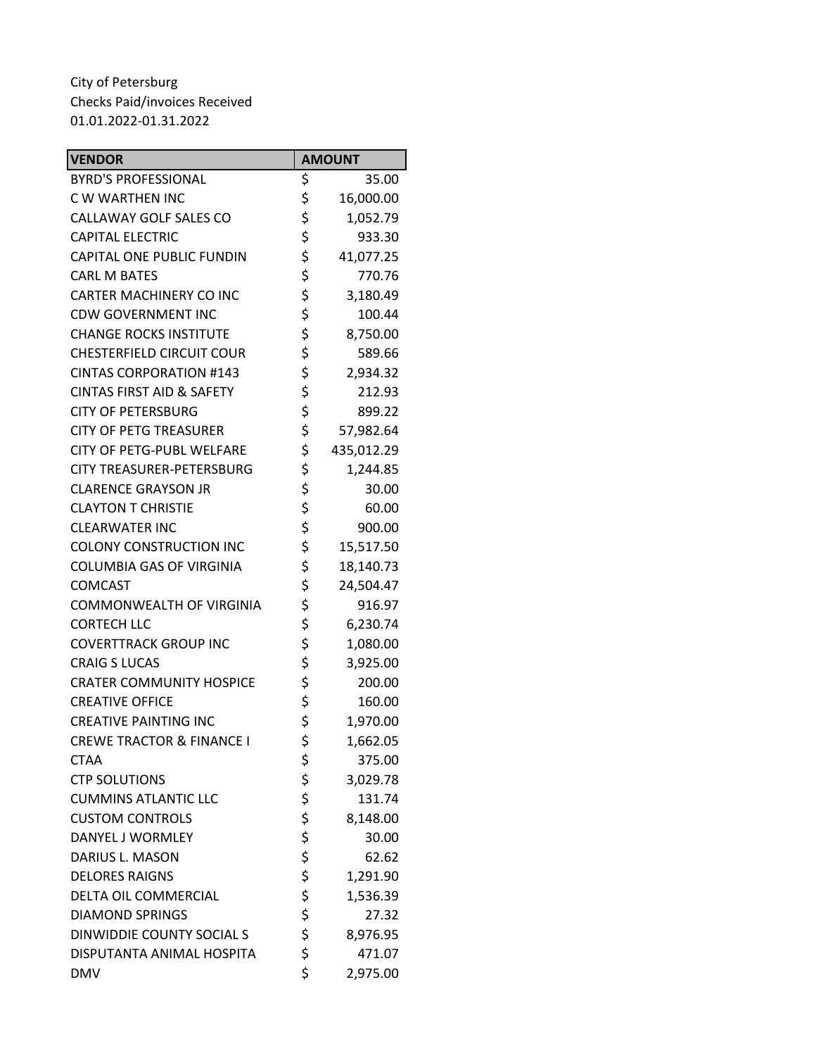| <b>VENDOR</b>                        | <b>AMOUNT</b>    |
|--------------------------------------|------------------|
| <b>BYRD'S PROFESSIONAL</b>           | \$<br>35.00      |
| C W WARTHEN INC                      | \$<br>16,000.00  |
| CALLAWAY GOLF SALES CO               | \$<br>1,052.79   |
| <b>CAPITAL ELECTRIC</b>              | \$<br>933.30     |
| CAPITAL ONE PUBLIC FUNDIN            | \$<br>41,077.25  |
| <b>CARL M BATES</b>                  | \$<br>770.76     |
| CARTER MACHINERY CO INC              | \$<br>3,180.49   |
| <b>CDW GOVERNMENT INC</b>            | \$<br>100.44     |
| <b>CHANGE ROCKS INSTITUTE</b>        | \$<br>8,750.00   |
| <b>CHESTERFIELD CIRCUIT COUR</b>     | \$<br>589.66     |
| <b>CINTAS CORPORATION #143</b>       | \$<br>2,934.32   |
| <b>CINTAS FIRST AID &amp; SAFETY</b> | \$<br>212.93     |
| <b>CITY OF PETERSBURG</b>            | \$<br>899.22     |
| <b>CITY OF PETG TREASURER</b>        | \$<br>57,982.64  |
| <b>CITY OF PETG-PUBL WELFARE</b>     | \$<br>435,012.29 |
| <b>CITY TREASURER-PETERSBURG</b>     | \$<br>1,244.85   |
| <b>CLARENCE GRAYSON JR</b>           | \$<br>30.00      |
| <b>CLAYTON T CHRISTIE</b>            | \$<br>60.00      |
| <b>CLEARWATER INC</b>                | \$<br>900.00     |
| <b>COLONY CONSTRUCTION INC</b>       | \$<br>15,517.50  |
| <b>COLUMBIA GAS OF VIRGINIA</b>      | \$<br>18,140.73  |
| <b>COMCAST</b>                       | \$<br>24,504.47  |
| COMMONWEALTH OF VIRGINIA             | \$<br>916.97     |
| <b>CORTECH LLC</b>                   | \$<br>6,230.74   |
| <b>COVERTTRACK GROUP INC</b>         | \$<br>1,080.00   |
| <b>CRAIG S LUCAS</b>                 | \$<br>3,925.00   |
| <b>CRATER COMMUNITY HOSPICE</b>      | \$<br>200.00     |
| <b>CREATIVE OFFICE</b>               | \$<br>160.00     |
| <b>CREATIVE PAINTING INC</b>         | \$<br>1,970.00   |
| <b>CREWE TRACTOR &amp; FINANCE I</b> | \$<br>1,662.05   |
| <b>CTAA</b>                          | \$<br>375.00     |
| <b>CTP SOLUTIONS</b>                 | \$<br>3,029.78   |
| <b>CUMMINS ATLANTIC LLC</b>          | \$<br>131.74     |
| <b>CUSTOM CONTROLS</b>               | \$<br>8,148.00   |
| DANYEL J WORMLEY                     | \$<br>30.00      |
| DARIUS L. MASON                      | \$<br>62.62      |
| <b>DELORES RAIGNS</b>                | \$<br>1,291.90   |
| DELTA OIL COMMERCIAL                 | \$<br>1,536.39   |
| <b>DIAMOND SPRINGS</b>               | \$<br>27.32      |
| DINWIDDIE COUNTY SOCIAL S            | \$<br>8,976.95   |
| DISPUTANTA ANIMAL HOSPITA            | \$<br>471.07     |
| <b>DMV</b>                           | \$<br>2,975.00   |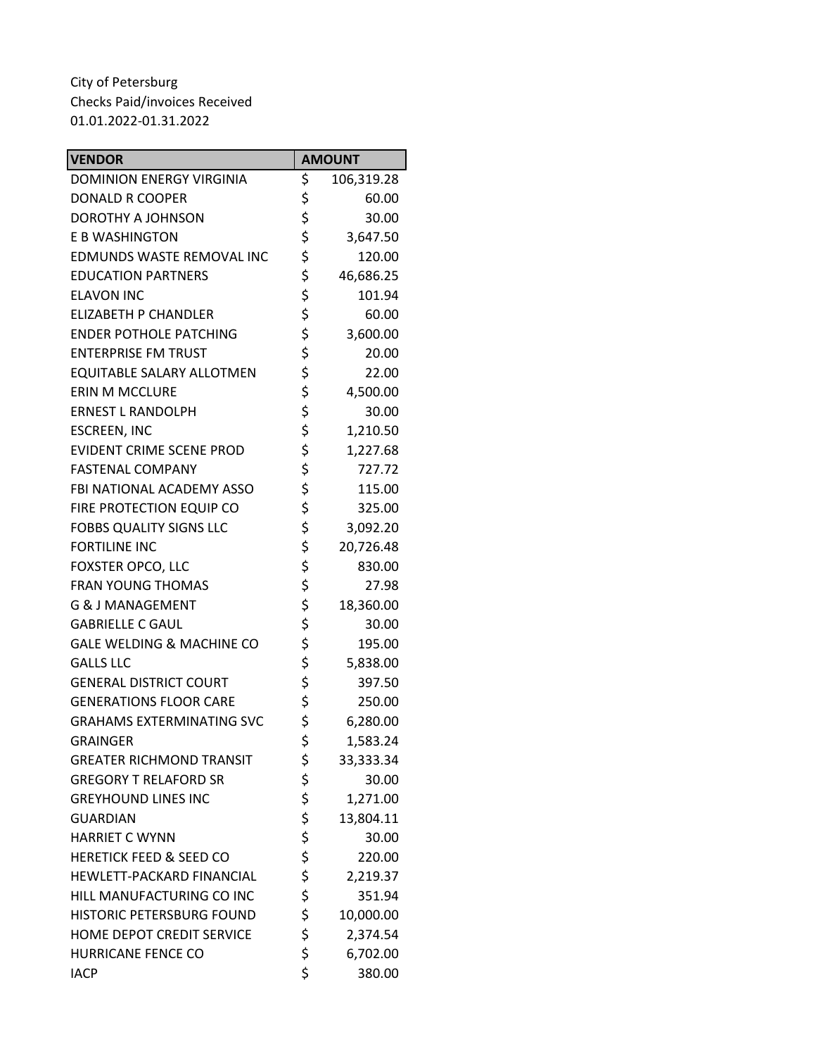| <b>VENDOR</b>                      | <b>AMOUNT</b>    |
|------------------------------------|------------------|
| <b>DOMINION ENERGY VIRGINIA</b>    | \$<br>106,319.28 |
| <b>DONALD R COOPER</b>             | \$<br>60.00      |
| DOROTHY A JOHNSON                  | \$<br>30.00      |
| E B WASHINGTON                     | \$<br>3,647.50   |
| EDMUNDS WASTE REMOVAL INC          | \$<br>120.00     |
| <b>EDUCATION PARTNERS</b>          | \$<br>46,686.25  |
| <b>ELAVON INC</b>                  | \$<br>101.94     |
| <b>ELIZABETH P CHANDLER</b>        | \$<br>60.00      |
| <b>ENDER POTHOLE PATCHING</b>      | \$<br>3,600.00   |
| <b>ENTERPRISE FM TRUST</b>         | \$<br>20.00      |
| EQUITABLE SALARY ALLOTMEN          | \$<br>22.00      |
| <b>ERIN M MCCLURE</b>              | \$<br>4,500.00   |
| <b>ERNEST L RANDOLPH</b>           | \$<br>30.00      |
| <b>ESCREEN, INC</b>                | \$<br>1,210.50   |
| <b>EVIDENT CRIME SCENE PROD</b>    | \$<br>1,227.68   |
| <b>FASTENAL COMPANY</b>            | \$<br>727.72     |
| FBI NATIONAL ACADEMY ASSO          | \$<br>115.00     |
| FIRE PROTECTION EQUIP CO           | \$<br>325.00     |
| <b>FOBBS QUALITY SIGNS LLC</b>     | \$<br>3,092.20   |
| <b>FORTILINE INC</b>               | \$<br>20,726.48  |
| FOXSTER OPCO, LLC                  | \$<br>830.00     |
| <b>FRAN YOUNG THOMAS</b>           | \$<br>27.98      |
| <b>G &amp; J MANAGEMENT</b>        | \$<br>18,360.00  |
| <b>GABRIELLE C GAUL</b>            | \$<br>30.00      |
| GALE WELDING & MACHINE CO          | \$<br>195.00     |
| <b>GALLS LLC</b>                   | \$<br>5,838.00   |
| <b>GENERAL DISTRICT COURT</b>      | \$<br>397.50     |
| <b>GENERATIONS FLOOR CARE</b>      | \$<br>250.00     |
| <b>GRAHAMS EXTERMINATING SVC</b>   | \$<br>6,280.00   |
| <b>GRAINGER</b>                    | \$<br>1,583.24   |
| <b>GREATER RICHMOND TRANSIT</b>    | \$<br>33,333.34  |
| <b>GREGORY T RELAFORD SR</b>       | \$<br>30.00      |
| <b>GREYHOUND LINES INC</b>         | \$<br>1,271.00   |
| <b>GUARDIAN</b>                    | \$<br>13,804.11  |
| <b>HARRIET C WYNN</b>              | \$<br>30.00      |
| <b>HERETICK FEED &amp; SEED CO</b> | \$<br>220.00     |
| HEWLETT-PACKARD FINANCIAL          | \$<br>2,219.37   |
| HILL MANUFACTURING CO INC          | \$<br>351.94     |
| HISTORIC PETERSBURG FOUND          | \$<br>10,000.00  |
| HOME DEPOT CREDIT SERVICE          | \$<br>2,374.54   |
| <b>HURRICANE FENCE CO</b>          | \$<br>6,702.00   |
| <b>IACP</b>                        | \$<br>380.00     |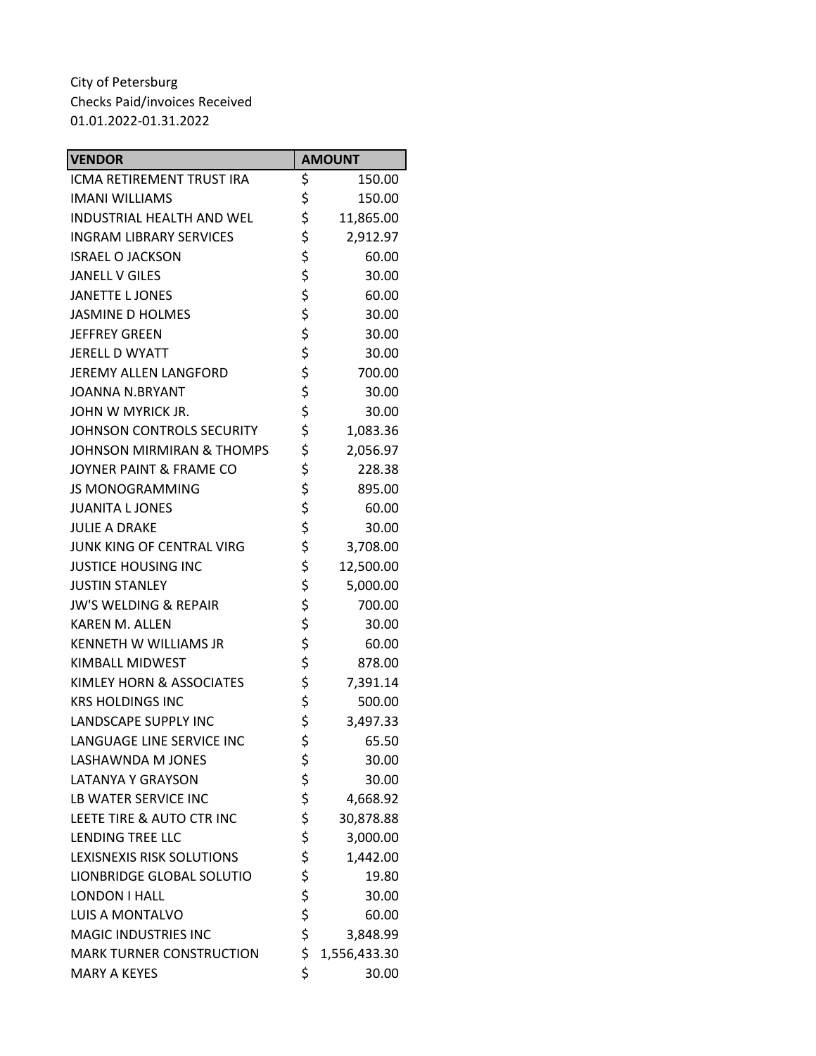| <b>VENDOR</b>                        |          | <b>AMOUNT</b> |
|--------------------------------------|----------|---------------|
| ICMA RETIREMENT TRUST IRA            | \$       | 150.00        |
| <b>IMANI WILLIAMS</b>                | \$       | 150.00        |
| <b>INDUSTRIAL HEALTH AND WEL</b>     | \$       | 11,865.00     |
| <b>INGRAM LIBRARY SERVICES</b>       | \$       | 2,912.97      |
| <b>ISRAEL O JACKSON</b>              | \$       | 60.00         |
| <b>JANELL V GILES</b>                | \$       | 30.00         |
| <b>JANETTE L JONES</b>               | \$       | 60.00         |
| <b>JASMINE D HOLMES</b>              | \$       | 30.00         |
| <b>JEFFREY GREEN</b>                 | \$       | 30.00         |
| JERELL D WYATT                       | \$       | 30.00         |
| JEREMY ALLEN LANGFORD                | \$       | 700.00        |
| <b>JOANNA N.BRYANT</b>               | \$       | 30.00         |
| JOHN W MYRICK JR.                    | \$       | 30.00         |
| JOHNSON CONTROLS SECURITY            | \$       | 1,083.36      |
| <b>JOHNSON MIRMIRAN &amp; THOMPS</b> | \$       | 2,056.97      |
| JOYNER PAINT & FRAME CO              | \$       | 228.38        |
| <b>JS MONOGRAMMING</b>               | \$       | 895.00        |
| <b>JUANITA L JONES</b>               | \$       | 60.00         |
| <b>JULIE A DRAKE</b>                 | \$       | 30.00         |
| JUNK KING OF CENTRAL VIRG            | \$       | 3,708.00      |
| <b>JUSTICE HOUSING INC</b>           | \$       | 12,500.00     |
| <b>JUSTIN STANLEY</b>                | \$       | 5,000.00      |
| <b>JW'S WELDING &amp; REPAIR</b>     | \$       | 700.00        |
| <b>KAREN M. ALLEN</b>                | \$       | 30.00         |
| KENNETH W WILLIAMS JR                | \$       | 60.00         |
| KIMBALL MIDWEST                      | \$       | 878.00        |
| KIMLEY HORN & ASSOCIATES             | \$       | 7,391.14      |
| <b>KRS HOLDINGS INC</b>              | \$       | 500.00        |
| <b>LANDSCAPE SUPPLY INC</b>          | \$       | 3,497.33      |
| LANGUAGE LINE SERVICE INC            | \$       | 65.50         |
| LASHAWNDA M JONES                    | \$       | 30.00         |
| <b>LATANYA Y GRAYSON</b>             | \$       | 30.00         |
| LB WATER SERVICE INC                 | \$       | 4,668.92      |
| LEETE TIRE & AUTO CTR INC            | \$       | 30,878.88     |
| <b>LENDING TREE LLC</b>              | \$       | 3,000.00      |
| LEXISNEXIS RISK SOLUTIONS            | \$       | 1,442.00      |
| LIONBRIDGE GLOBAL SOLUTIO            | \$       | 19.80         |
| LONDON I HALL                        | \$       | 30.00         |
| <b>LUIS A MONTALVO</b>               | \$<br>\$ | 60.00         |
| <b>MAGIC INDUSTRIES INC</b>          |          | 3,848.99      |
| <b>MARK TURNER CONSTRUCTION</b>      | \$       | 1,556,433.30  |
| <b>MARY A KEYES</b>                  | \$       | 30.00         |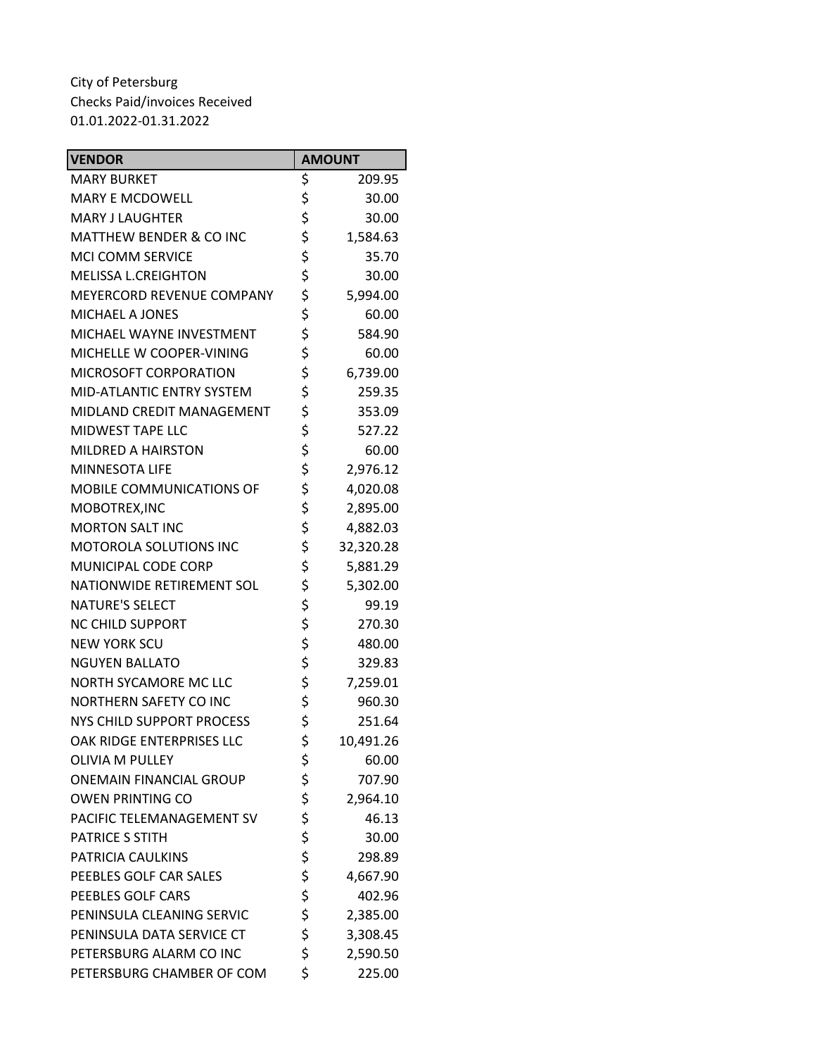| <b>VENDOR</b>                      | <b>AMOUNT</b>   |
|------------------------------------|-----------------|
| <b>MARY BURKET</b>                 | \$<br>209.95    |
| <b>MARY E MCDOWELL</b>             | \$<br>30.00     |
| <b>MARY J LAUGHTER</b>             | \$<br>30.00     |
| <b>MATTHEW BENDER &amp; CO INC</b> | \$<br>1,584.63  |
| <b>MCI COMM SERVICE</b>            | \$<br>35.70     |
| <b>MELISSA L.CREIGHTON</b>         | \$<br>30.00     |
| MEYERCORD REVENUE COMPANY          | \$<br>5,994.00  |
| <b>MICHAEL A JONES</b>             | \$<br>60.00     |
| MICHAEL WAYNE INVESTMENT           | \$<br>584.90    |
| MICHELLE W COOPER-VINING           | \$<br>60.00     |
| MICROSOFT CORPORATION              | \$<br>6,739.00  |
| MID-ATLANTIC ENTRY SYSTEM          | \$<br>259.35    |
| MIDLAND CREDIT MANAGEMENT          | \$<br>353.09    |
| <b>MIDWEST TAPE LLC</b>            | \$<br>527.22    |
| MILDRED A HAIRSTON                 | \$<br>60.00     |
| <b>MINNESOTA LIFE</b>              | \$<br>2,976.12  |
| MOBILE COMMUNICATIONS OF           | \$<br>4,020.08  |
| MOBOTREX, INC                      | \$<br>2,895.00  |
| <b>MORTON SALT INC</b>             | \$<br>4,882.03  |
| MOTOROLA SOLUTIONS INC             | \$<br>32,320.28 |
| MUNICIPAL CODE CORP                | \$<br>5,881.29  |
| NATIONWIDE RETIREMENT SOL          | \$<br>5,302.00  |
| <b>NATURE'S SELECT</b>             | \$<br>99.19     |
| <b>NC CHILD SUPPORT</b>            | \$<br>270.30    |
| <b>NEW YORK SCU</b>                | \$<br>480.00    |
| <b>NGUYEN BALLATO</b>              | \$<br>329.83    |
| NORTH SYCAMORE MC LLC              | \$<br>7,259.01  |
| <b>NORTHERN SAFETY CO INC</b>      | \$<br>960.30    |
| NYS CHILD SUPPORT PROCESS          | \$<br>251.64    |
| OAK RIDGE ENTERPRISES LLC          | \$<br>10,491.26 |
| <b>OLIVIA M PULLEY</b>             | \$<br>60.00     |
| <b>ONEMAIN FINANCIAL GROUP</b>     | \$<br>707.90    |
| <b>OWEN PRINTING CO</b>            | \$<br>2,964.10  |
| PACIFIC TELEMANAGEMENT SV          | \$<br>46.13     |
| <b>PATRICE S STITH</b>             | \$<br>30.00     |
| PATRICIA CAULKINS                  | \$<br>298.89    |
| PEEBLES GOLF CAR SALES             | \$<br>4,667.90  |
| PEEBLES GOLF CARS                  | \$<br>402.96    |
| PENINSULA CLEANING SERVIC          | \$<br>2,385.00  |
| PENINSULA DATA SERVICE CT          | \$<br>3,308.45  |
| PETERSBURG ALARM CO INC            | \$<br>2,590.50  |
| PETERSBURG CHAMBER OF COM          | \$<br>225.00    |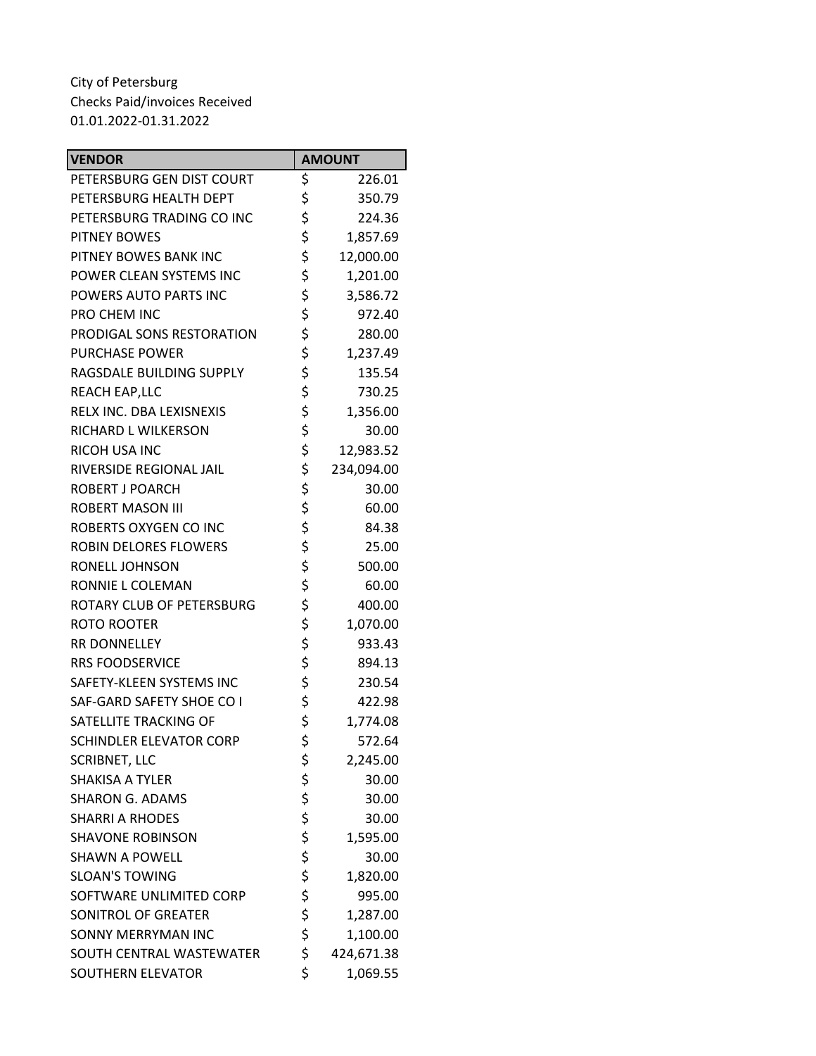| <b>VENDOR</b>             |          | <b>AMOUNT</b> |
|---------------------------|----------|---------------|
| PETERSBURG GEN DIST COURT | \$       | 226.01        |
| PETERSBURG HEALTH DEPT    | \$       | 350.79        |
| PETERSBURG TRADING CO INC | \$       | 224.36        |
| <b>PITNEY BOWES</b>       | \$       | 1,857.69      |
| PITNEY BOWES BANK INC     | \$       | 12,000.00     |
| POWER CLEAN SYSTEMS INC   | \$       | 1,201.00      |
| POWERS AUTO PARTS INC     | \$       | 3,586.72      |
| PRO CHEM INC              | \$       | 972.40        |
| PRODIGAL SONS RESTORATION | \$       | 280.00        |
| <b>PURCHASE POWER</b>     | \$       | 1,237.49      |
| RAGSDALE BUILDING SUPPLY  | \$       | 135.54        |
| REACH EAP, LLC            | \$       | 730.25        |
| RELX INC. DBA LEXISNEXIS  | \$       | 1,356.00      |
| RICHARD L WILKERSON       | \$       | 30.00         |
| <b>RICOH USA INC</b>      | \$       | 12,983.52     |
| RIVERSIDE REGIONAL JAIL   | \$       | 234,094.00    |
| ROBERT J POARCH           | \$       | 30.00         |
| <b>ROBERT MASON III</b>   | \$       | 60.00         |
| ROBERTS OXYGEN CO INC     | \$       | 84.38         |
| ROBIN DELORES FLOWERS     | \$       | 25.00         |
| RONELL JOHNSON            | \$       | 500.00        |
| RONNIE L COLEMAN          | \$       | 60.00         |
| ROTARY CLUB OF PETERSBURG | \$       | 400.00        |
| ROTO ROOTER               | \$       | 1,070.00      |
| RR DONNELLEY              | \$       | 933.43        |
| <b>RRS FOODSERVICE</b>    | \$       | 894.13        |
| SAFETY-KLEEN SYSTEMS INC  | \$       | 230.54        |
| SAF-GARD SAFETY SHOE CO I | \$       | 422.98        |
| SATELLITE TRACKING OF     | \$       | 1,774.08      |
| SCHINDLER ELEVATOR CORP   | \$       | 572.64        |
| <b>SCRIBNET, LLC</b>      | \$       | 2,245.00      |
| <b>SHAKISA A TYLER</b>    | \$<br>\$ | 30.00         |
| <b>SHARON G. ADAMS</b>    |          | 30.00         |
| <b>SHARRI A RHODES</b>    | \$       | 30.00         |
| <b>SHAVONE ROBINSON</b>   | \$\$\$   | 1,595.00      |
| <b>SHAWN A POWELL</b>     |          | 30.00         |
| <b>SLOAN'S TOWING</b>     |          | 1,820.00      |
| SOFTWARE UNLIMITED CORP   |          | 995.00        |
| SONITROL OF GREATER       | \$       | 1,287.00      |
| SONNY MERRYMAN INC        | \$       | 1,100.00      |
| SOUTH CENTRAL WASTEWATER  | \$       | 424,671.38    |
| SOUTHERN ELEVATOR         | \$       | 1,069.55      |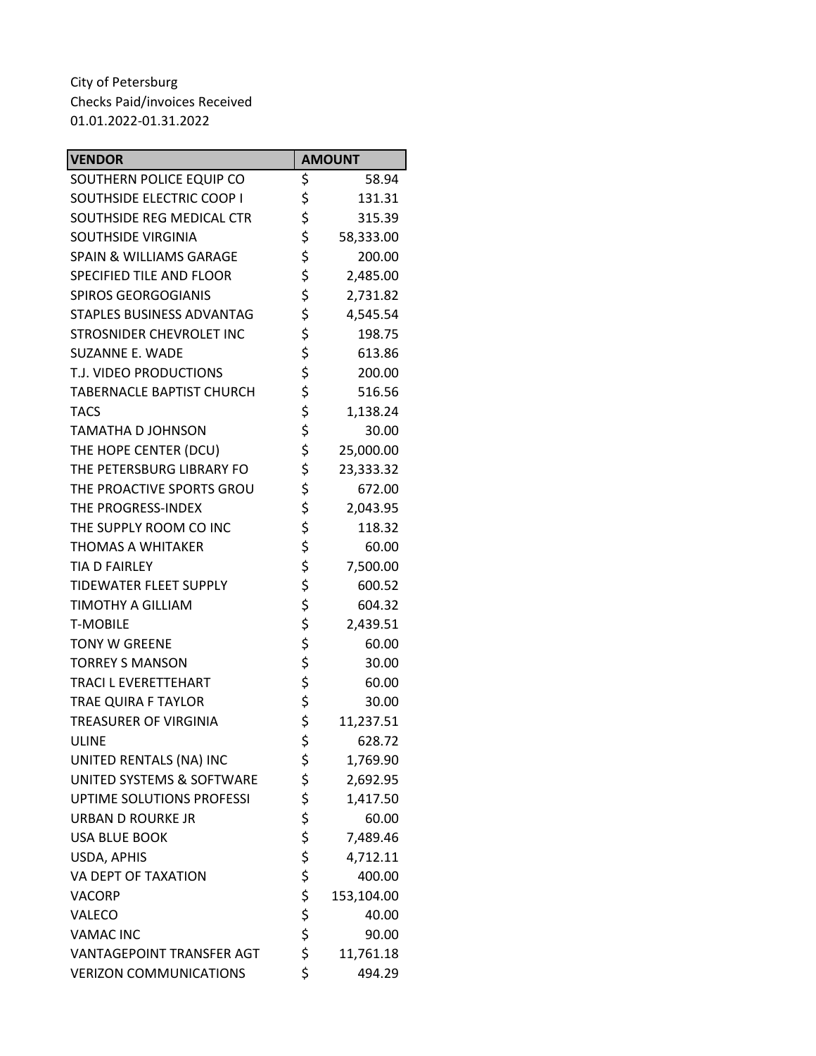| <b>VENDOR</b>                      |        | <b>AMOUNT</b> |  |
|------------------------------------|--------|---------------|--|
| SOUTHERN POLICE EQUIP CO           | \$     | 58.94         |  |
| SOUTHSIDE ELECTRIC COOP I          | \$     | 131.31        |  |
| SOUTHSIDE REG MEDICAL CTR          | \$     | 315.39        |  |
| SOUTHSIDE VIRGINIA                 | \$     | 58,333.00     |  |
| <b>SPAIN &amp; WILLIAMS GARAGE</b> | \$     | 200.00        |  |
| SPECIFIED TILE AND FLOOR           | \$     | 2,485.00      |  |
| SPIROS GEORGOGIANIS                | \$     | 2,731.82      |  |
| <b>STAPLES BUSINESS ADVANTAG</b>   | \$     | 4,545.54      |  |
| STROSNIDER CHEVROLET INC           | \$     | 198.75        |  |
| <b>SUZANNE E. WADE</b>             | \$     | 613.86        |  |
| T.J. VIDEO PRODUCTIONS             | \$     | 200.00        |  |
| <b>TABERNACLE BAPTIST CHURCH</b>   | \$     | 516.56        |  |
| <b>TACS</b>                        | \$     | 1,138.24      |  |
| <b>TAMATHA D JOHNSON</b>           | \$     | 30.00         |  |
| THE HOPE CENTER (DCU)              | \$     | 25,000.00     |  |
| THE PETERSBURG LIBRARY FO          | \$     | 23,333.32     |  |
| THE PROACTIVE SPORTS GROU          | \$     | 672.00        |  |
| THE PROGRESS-INDEX                 | \$     | 2,043.95      |  |
| THE SUPPLY ROOM CO INC             | \$     | 118.32        |  |
| <b>THOMAS A WHITAKER</b>           | \$     | 60.00         |  |
| TIA D FAIRLEY                      | \$     | 7,500.00      |  |
| <b>TIDEWATER FLEET SUPPLY</b>      | \$     | 600.52        |  |
| <b>TIMOTHY A GILLIAM</b>           | \$     | 604.32        |  |
| <b>T-MOBILE</b>                    | \$     | 2,439.51      |  |
| <b>TONY W GREENE</b>               | \$     | 60.00         |  |
| <b>TORREY S MANSON</b>             | \$     | 30.00         |  |
| TRACI L EVERETTEHART               | \$     | 60.00         |  |
| <b>TRAE QUIRA F TAYLOR</b>         | \$     | 30.00         |  |
| TREASURER OF VIRGINIA              | \$     | 11,237.51     |  |
| <b>ULINE</b>                       | \$     | 628.72        |  |
| UNITED RENTALS (NA) INC            | \$     | 1,769.90      |  |
| UNITED SYSTEMS & SOFTWARE          | \$     | 2,692.95      |  |
| UPTIME SOLUTIONS PROFESSI          | \$     | 1,417.50      |  |
| <b>URBAN D ROURKE JR</b>           | \$     | 60.00         |  |
| <b>USA BLUE BOOK</b>               | \$\$\$ | 7,489.46      |  |
| USDA, APHIS                        |        | 4,712.11      |  |
| VA DEPT OF TAXATION                |        | 400.00        |  |
| <b>VACORP</b>                      | \$     | 153,104.00    |  |
| VALECO                             | \$     | 40.00         |  |
| <b>VAMAC INC</b>                   | \$     | 90.00         |  |
| VANTAGEPOINT TRANSFER AGT          | \$     | 11,761.18     |  |
| <b>VERIZON COMMUNICATIONS</b>      | \$     | 494.29        |  |